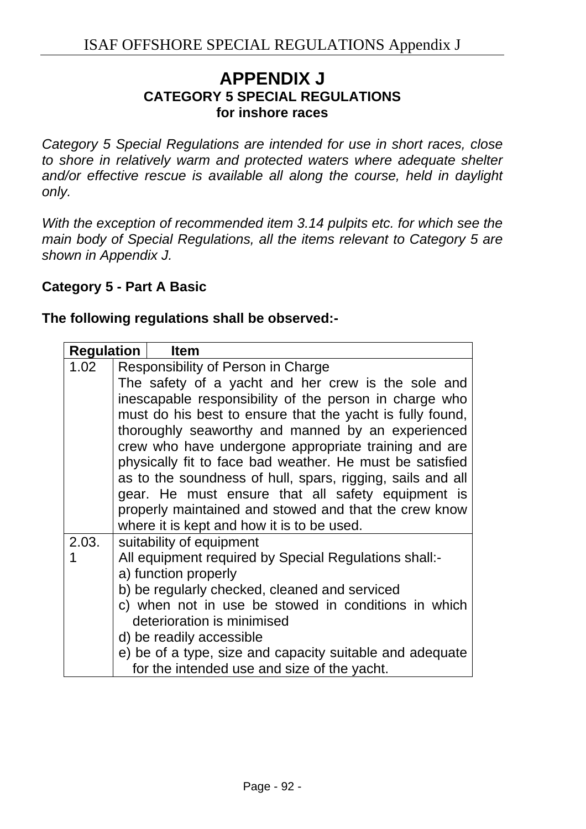# **APPENDIX J CATEGORY 5 SPECIAL REGULATIONS for inshore races**

*Category 5 Special Regulations are intended for use in short races, close to shore in relatively warm and protected waters where adequate shelter and/or effective rescue is available all along the course, held in daylight only.* 

*With the exception of recommended item 3.14 pulpits etc. for which see the main body of Special Regulations, all the items relevant to Category 5 are shown in Appendix J.* 

### **Category 5 - Part A Basic**

#### **The following regulations shall be observed:-**

| <b>Regulation</b> | <b>Item</b>                                                                                                            |  |
|-------------------|------------------------------------------------------------------------------------------------------------------------|--|
| 1.02              | Responsibility of Person in Charge                                                                                     |  |
|                   | The safety of a yacht and her crew is the sole and                                                                     |  |
|                   | inescapable responsibility of the person in charge who                                                                 |  |
|                   | must do his best to ensure that the yacht is fully found,                                                              |  |
|                   | thoroughly seaworthy and manned by an experienced                                                                      |  |
|                   | crew who have undergone appropriate training and are                                                                   |  |
|                   | physically fit to face bad weather. He must be satisfied<br>as to the soundness of hull, spars, rigging, sails and all |  |
|                   |                                                                                                                        |  |
|                   | gear. He must ensure that all safety equipment is                                                                      |  |
|                   | properly maintained and stowed and that the crew know                                                                  |  |
|                   | where it is kept and how it is to be used.                                                                             |  |
| 2.03.             | suitability of equipment                                                                                               |  |
|                   | All equipment required by Special Regulations shall:-                                                                  |  |
|                   | a) function properly                                                                                                   |  |
|                   | b) be regularly checked, cleaned and serviced                                                                          |  |
|                   | c) when not in use be stowed in conditions in which                                                                    |  |
|                   | deterioration is minimised                                                                                             |  |
|                   | d) be readily accessible                                                                                               |  |
|                   | e) be of a type, size and capacity suitable and adequate                                                               |  |
|                   | for the intended use and size of the yacht.                                                                            |  |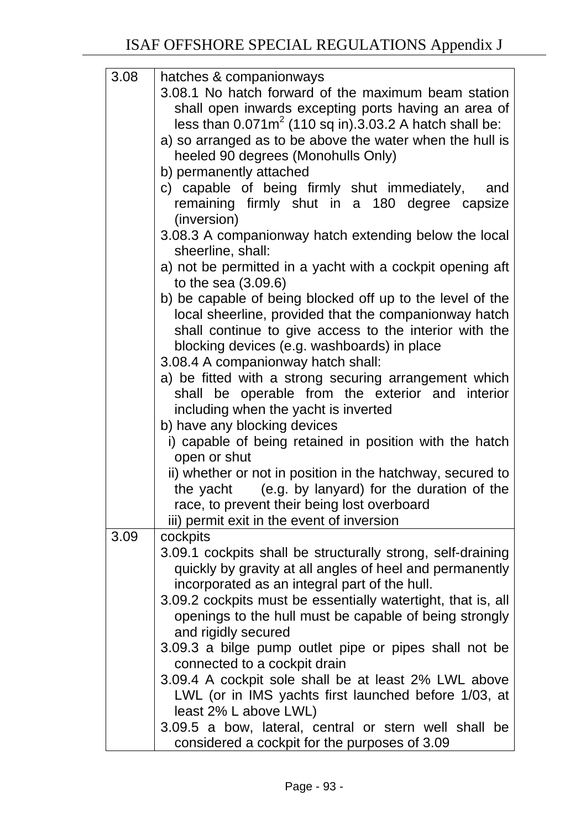| 3.08 | hatches & companionways<br>3.08.1 No hatch forward of the maximum beam station<br>shall open inwards excepting ports having an area of<br>less than $0.071m^2$ (110 sq in).3.03.2 A hatch shall be:<br>a) so arranged as to be above the water when the hull is<br>heeled 90 degrees (Monohulls Only)<br>b) permanently attached<br>c) capable of being firmly shut immediately,<br>and<br>remaining firmly shut in a 180 degree capsize<br>(inversion)<br>3.08.3 A companionway hatch extending below the local<br>sheerline, shall:<br>a) not be permitted in a yacht with a cockpit opening aft                                                                                |
|------|-----------------------------------------------------------------------------------------------------------------------------------------------------------------------------------------------------------------------------------------------------------------------------------------------------------------------------------------------------------------------------------------------------------------------------------------------------------------------------------------------------------------------------------------------------------------------------------------------------------------------------------------------------------------------------------|
|      | to the sea $(3.09.6)$<br>b) be capable of being blocked off up to the level of the<br>local sheerline, provided that the companionway hatch<br>shall continue to give access to the interior with the<br>blocking devices (e.g. washboards) in place<br>3.08.4 A companionway hatch shall:<br>a) be fitted with a strong securing arrangement which<br>shall be operable from the exterior and interior                                                                                                                                                                                                                                                                           |
|      | including when the yacht is inverted<br>b) have any blocking devices<br>i) capable of being retained in position with the hatch<br>open or shut<br>ii) whether or not in position in the hatchway, secured to<br>the yacht (e.g. by lanyard) for the duration of the<br>race, to prevent their being lost overboard<br>iii) permit exit in the event of inversion                                                                                                                                                                                                                                                                                                                 |
| 3.09 | cockpits<br>3.09.1 cockpits shall be structurally strong, self-draining<br>quickly by gravity at all angles of heel and permanently<br>incorporated as an integral part of the hull.<br>3.09.2 cockpits must be essentially watertight, that is, all<br>openings to the hull must be capable of being strongly<br>and rigidly secured<br>3.09.3 a bilge pump outlet pipe or pipes shall not be<br>connected to a cockpit drain<br>3.09.4 A cockpit sole shall be at least 2% LWL above<br>LWL (or in IMS yachts first launched before 1/03, at<br>least 2% L above LWL)<br>3.09.5 a bow, lateral, central or stern well shall be<br>considered a cockpit for the purposes of 3.09 |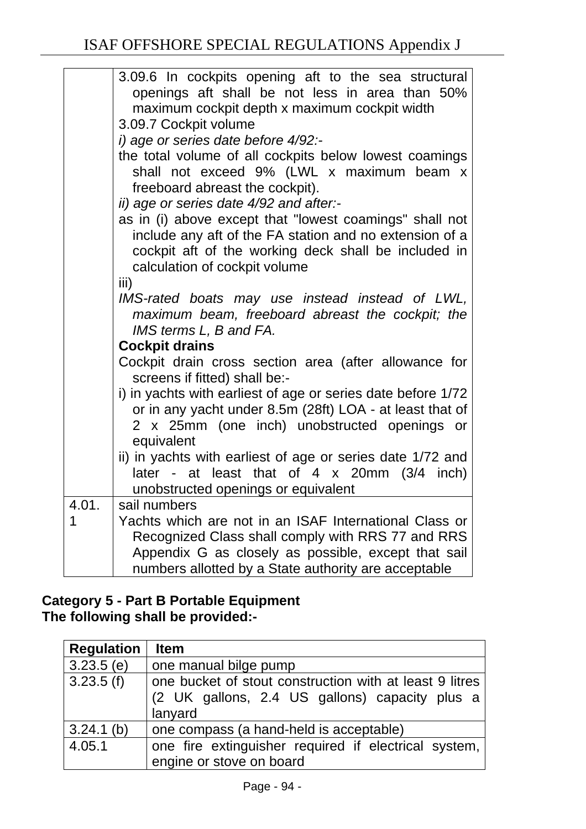|       | 3.09.6 In cockpits opening aft to the sea structural<br>openings aft shall be not less in area than 50%<br>maximum cockpit depth x maximum cockpit width<br>3.09.7 Cockpit volume<br>i) age or series date before 4/92:-<br>the total volume of all cockpits below lowest coamings<br>shall not exceed 9% (LWL x maximum beam x<br>freeboard abreast the cockpit).<br>ii) age or series date 4/92 and after:-<br>as in (i) above except that "lowest coamings" shall not<br>include any aft of the FA station and no extension of a<br>cockpit aft of the working deck shall be included in<br>calculation of cockpit volume<br>iii)<br>IMS-rated boats may use instead instead of LWL, |
|-------|-----------------------------------------------------------------------------------------------------------------------------------------------------------------------------------------------------------------------------------------------------------------------------------------------------------------------------------------------------------------------------------------------------------------------------------------------------------------------------------------------------------------------------------------------------------------------------------------------------------------------------------------------------------------------------------------|
|       | maximum beam, freeboard abreast the cockpit; the<br>IMS terms L, B and FA.                                                                                                                                                                                                                                                                                                                                                                                                                                                                                                                                                                                                              |
|       | <b>Cockpit drains</b>                                                                                                                                                                                                                                                                                                                                                                                                                                                                                                                                                                                                                                                                   |
|       | Cockpit drain cross section area (after allowance for<br>screens if fitted) shall be:-                                                                                                                                                                                                                                                                                                                                                                                                                                                                                                                                                                                                  |
|       | i) in yachts with earliest of age or series date before 1/72<br>or in any yacht under 8.5m (28ft) LOA - at least that of<br>2 x 25mm (one inch) unobstructed openings or<br>equivalent                                                                                                                                                                                                                                                                                                                                                                                                                                                                                                  |
|       | ii) in yachts with earliest of age or series date 1/72 and<br>later - at least that of $4 \times 20$ mm (3/4 inch)<br>unobstructed openings or equivalent                                                                                                                                                                                                                                                                                                                                                                                                                                                                                                                               |
| 4.01. | sail numbers                                                                                                                                                                                                                                                                                                                                                                                                                                                                                                                                                                                                                                                                            |
| 1     | Yachts which are not in an ISAF International Class or<br>Recognized Class shall comply with RRS 77 and RRS<br>Appendix G as closely as possible, except that sail<br>numbers allotted by a State authority are acceptable                                                                                                                                                                                                                                                                                                                                                                                                                                                              |

# **Category 5 - Part B Portable Equipment The following shall be provided:-**

| <b>Regulation</b> | <b>Item</b>                                                                                                          |
|-------------------|----------------------------------------------------------------------------------------------------------------------|
| $3.23.5$ (e)      | one manual bilge pump                                                                                                |
| 3.23.5(f)         | one bucket of stout construction with at least 9 litres<br>(2 UK gallons, 2.4 US gallons) capacity plus a<br>lanyard |
| $3.24.1$ (b)      | one compass (a hand-held is acceptable)                                                                              |
| 4.05.1            | one fire extinguisher required if electrical system,<br>engine or stove on board                                     |